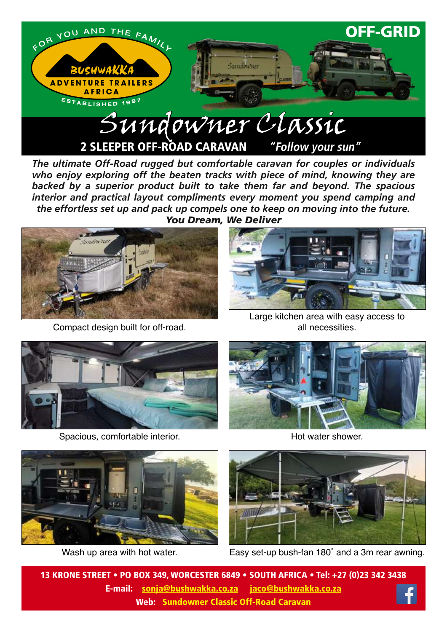

*The ultimate Off-Road rugged but comfortable caravan for couples or individuals*  who enjoy exploring off the beaten tracks with piece of mind, knowing they are *backed by a superior product built to take them far and beyond. The spacious interior and practical layout compliments every moment you spend camping and the effortless set up and pack up compels one to keep on moving into the future. You Dream, We Deliver*



Compact design built for off-road.



Large kitchen area with easy access to all necessities.



Spacious, comfortable interior.



Hot water shower.



Wash up area with hot water.



Easy set-up bush-fan 180˚ and a 3m rear awning.

13 KRONE STREET • PO BOX 349, WORCESTER 6849 • SOUTH AFRICA • Tel: +27 (0)23 342 3438 E-mail: sonja@bushwakka.co.za jaco@bushwakka.co.za Web: [Sundowner Classic Off-Road Caravan](https://bushwakka.co.za/sundowner-4x4-off-road-caravan/?utm_source=website&utm_medium=ebrochure&utm_campaign=sd-classic&utm_id=SD+CLASSIC)